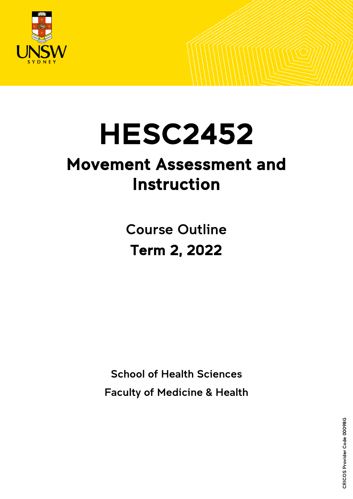

# HESC2452<br>Movement Assessment and

# Instruction

Course Outline Term 2, 2022

School of Health Sciences Faculty of Medicine & Health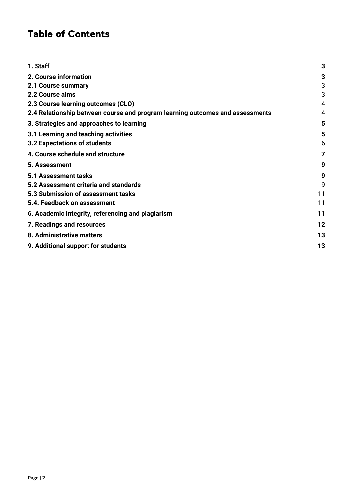# Table of Contents

| 1. Staff                                                                      | 3  |
|-------------------------------------------------------------------------------|----|
| 2. Course information                                                         | 3  |
| 2.1 Course summary                                                            | 3  |
| 2.2 Course aims                                                               | 3  |
| 2.3 Course learning outcomes (CLO)                                            | 4  |
| 2.4 Relationship between course and program learning outcomes and assessments | 4  |
| 3. Strategies and approaches to learning                                      | 5  |
| 3.1 Learning and teaching activities                                          | 5  |
| 3.2 Expectations of students                                                  | 6  |
| 4. Course schedule and structure                                              | 7  |
| 5. Assessment                                                                 | 9  |
| 5.1 Assessment tasks                                                          | 9  |
| 5.2 Assessment criteria and standards                                         | 9  |
| 5.3 Submission of assessment tasks                                            | 11 |
| 5.4. Feedback on assessment                                                   | 11 |
| 6. Academic integrity, referencing and plagiarism                             | 11 |
| 7. Readings and resources                                                     | 12 |
| 8. Administrative matters                                                     | 13 |
| 9. Additional support for students                                            | 13 |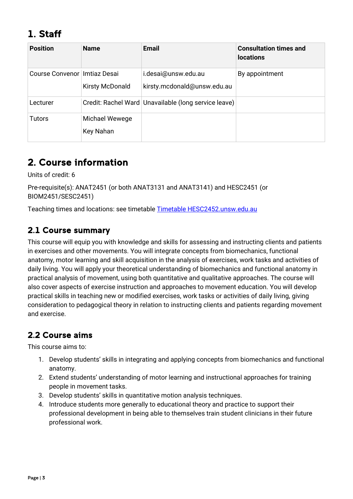# <span id="page-2-0"></span>1. Staff

| <b>Position</b>                | <b>Name</b>                 | <b>Email</b>                                           | <b>Consultation times and</b><br><b>locations</b> |
|--------------------------------|-----------------------------|--------------------------------------------------------|---------------------------------------------------|
| Course Convenor   Imtiaz Desai | <b>Kirsty McDonald</b>      | i.desai@unsw.edu.au<br>kirsty.mcdonald@unsw.edu.au     | By appointment                                    |
| Lecturer                       |                             | Credit: Rachel Ward   Unavailable (long service leave) |                                                   |
| <b>Tutors</b>                  | Michael Wewege<br>Key Nahan |                                                        |                                                   |

# <span id="page-2-1"></span>2. Course information

Units of credit: 6

Pre-requisite(s): ANAT2451 (or both ANAT3131 and ANAT3141) and HESC2451 (or BIOM2451/SESC2451)

Teaching times and locations: see timetable [Timetable HESC2452.unsw.edu.au](http://timetable.unsw.edu.au/2022/HESC2452.html)

# <span id="page-2-2"></span>2.1 Course summary

This course will equip you with knowledge and skills for assessing and instructing clients and patients in exercises and other movements. You will integrate concepts from biomechanics, functional anatomy, motor learning and skill acquisition in the analysis of exercises, work tasks and activities of daily living. You will apply your theoretical understanding of biomechanics and functional anatomy in practical analysis of movement, using both quantitative and qualitative approaches. The course will also cover aspects of exercise instruction and approaches to movement education. You will develop practical skills in teaching new or modified exercises, work tasks or activities of daily living, giving consideration to pedagogical theory in relation to instructing clients and patients regarding movement and exercise.

# <span id="page-2-3"></span>2.2 Course aims

This course aims to:

- 1. Develop students' skills in integrating and applying concepts from biomechanics and functional anatomy.
- 2. Extend students' understanding of motor learning and instructional approaches for training people in movement tasks.
- 3. Develop students' skills in quantitative motion analysis techniques.
- 4. Introduce students more generally to educational theory and practice to support their professional development in being able to themselves train student clinicians in their future professional work.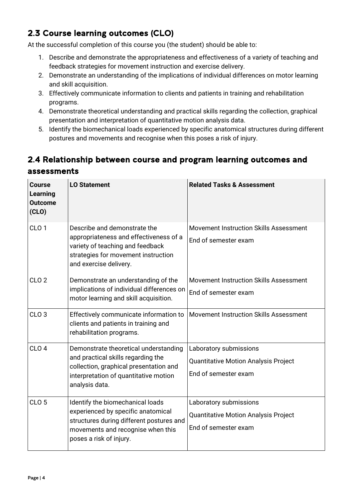# <span id="page-3-0"></span>2.3 Course learning outcomes (CLO)

At the successful completion of this course you (the student) should be able to:

- 1. Describe and demonstrate the appropriateness and effectiveness of a variety of teaching and feedback strategies for movement instruction and exercise delivery.
- 2. Demonstrate an understanding of the implications of individual differences on motor learning and skill acquisition.
- 3. Effectively communicate information to clients and patients in training and rehabilitation programs.
- 4. Demonstrate theoretical understanding and practical skills regarding the collection, graphical presentation and interpretation of quantitative motion analysis data.
- 5. Identify the biomechanical loads experienced by specific anatomical structures during different postures and movements and recognise when this poses a risk of injury.

# <span id="page-3-1"></span>2.4 Relationship between course and program learning outcomes and assessments

| <b>Course</b><br><b>Learning</b><br><b>Outcome</b><br>(CLO) | <b>LO Statement</b>                                                                                                                                                                | <b>Related Tasks &amp; Assessment</b>                                                         |
|-------------------------------------------------------------|------------------------------------------------------------------------------------------------------------------------------------------------------------------------------------|-----------------------------------------------------------------------------------------------|
| CLO <sub>1</sub>                                            | Describe and demonstrate the<br>appropriateness and effectiveness of a<br>variety of teaching and feedback<br>strategies for movement instruction<br>and exercise delivery.        | Movement Instruction Skills Assessment<br>End of semester exam                                |
| CLO <sub>2</sub>                                            | Demonstrate an understanding of the<br>implications of individual differences on<br>motor learning and skill acquisition.                                                          | <b>Movement Instruction Skills Assessment</b><br>End of semester exam                         |
| CLO <sub>3</sub>                                            | Effectively communicate information to<br>clients and patients in training and<br>rehabilitation programs.                                                                         | Movement Instruction Skills Assessment                                                        |
| CLO <sub>4</sub>                                            | Demonstrate theoretical understanding<br>and practical skills regarding the<br>collection, graphical presentation and<br>interpretation of quantitative motion<br>analysis data.   | Laboratory submissions<br><b>Quantitative Motion Analysis Project</b><br>End of semester exam |
| CLO <sub>5</sub>                                            | Identify the biomechanical loads<br>experienced by specific anatomical<br>structures during different postures and<br>movements and recognise when this<br>poses a risk of injury. | Laboratory submissions<br>Quantitative Motion Analysis Project<br>End of semester exam        |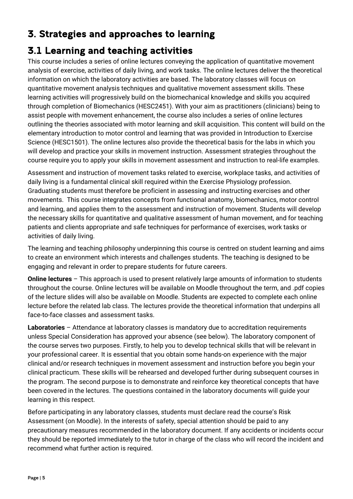# <span id="page-4-0"></span>3. Strategies and approaches to learning

# <span id="page-4-1"></span>3.1 Learning and teaching activities

This course includes a series of online lectures conveying the application of quantitative movement analysis of exercise, activities of daily living, and work tasks. The online lectures deliver the theoretical information on which the laboratory activities are based. The laboratory classes will focus on quantitative movement analysis techniques and qualitative movement assessment skills. These learning activities will progressively build on the biomechanical knowledge and skills you acquired through completion of Biomechanics (HESC2451). With your aim as practitioners (clinicians) being to assist people with movement enhancement, the course also includes a series of online lectures outlining the theories associated with motor learning and skill acquisition. This content will build on the elementary introduction to motor control and learning that was provided in Introduction to Exercise Science (HESC1501). The online lectures also provide the theoretical basis for the labs in which you will develop and practice your skills in movement instruction. Assessment strategies throughout the course require you to apply your skills in movement assessment and instruction to real-life examples.

Assessment and instruction of movement tasks related to exercise, workplace tasks, and activities of daily living is a fundamental clinical skill required within the Exercise Physiology profession. Graduating students must therefore be proficient in assessing and instructing exercises and other movements. This course integrates concepts from functional anatomy, biomechanics, motor control and learning, and applies them to the assessment and instruction of movement. Students will develop the necessary skills for quantitative and qualitative assessment of human movement, and for teaching patients and clients appropriate and safe techniques for performance of exercises, work tasks or activities of daily living.

The learning and teaching philosophy underpinning this course is centred on student learning and aims to create an environment which interests and challenges students. The teaching is designed to be engaging and relevant in order to prepare students for future careers.

**Online lectures** – This approach is used to present relatively large amounts of information to students throughout the course. Online lectures will be available on Moodle throughout the term, and .pdf copies of the lecture slides will also be available on Moodle. Students are expected to complete each online lecture before the related lab class. The lectures provide the theoretical information that underpins all face-to-face classes and assessment tasks.

**Laboratories** – Attendance at laboratory classes is mandatory due to accreditation requirements unless Special Consideration has approved your absence (see below). The laboratory component of the course serves two purposes. Firstly, to help you to develop technical skills that will be relevant in your professional career. It is essential that you obtain some hands-on experience with the major clinical and/or research techniques in movement assessment and instruction before you begin your clinical practicum. These skills will be rehearsed and developed further during subsequent courses in the program. The second purpose is to demonstrate and reinforce key theoretical concepts that have been covered in the lectures. The questions contained in the laboratory documents will guide your learning in this respect.

Before participating in any laboratory classes, students must declare read the course's Risk Assessment (on Moodle). In the interests of safety, special attention should be paid to any precautionary measures recommended in the laboratory document. If any accidents or incidents occur they should be reported immediately to the tutor in charge of the class who will record the incident and recommend what further action is required.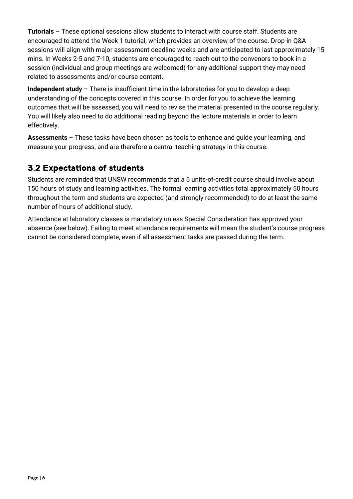**Tutorials** – These optional sessions allow students to interact with course staff. Students are encouraged to attend the Week 1 tutorial, which provides an overview of the course. Drop-in Q&A sessions will align with major assessment deadline weeks and are anticipated to last approximately 15 mins. In Weeks 2-5 and 7-10, students are encouraged to reach out to the convenors to book in a session (individual and group meetings are welcomed) for any additional support they may need related to assessments and/or course content.

**Independent study** – There is insufficient time in the laboratories for you to develop a deep understanding of the concepts covered in this course. In order for you to achieve the learning outcomes that will be assessed, you will need to revise the material presented in the course regularly. You will likely also need to do additional reading beyond the lecture materials in order to learn effectively.

**Assessments** – These tasks have been chosen as tools to enhance and guide your learning, and measure your progress, and are therefore a central teaching strategy in this course.

# <span id="page-5-0"></span>3.2 Expectations of students

Students are reminded that UNSW recommends that a 6 units-of-credit course should involve about 150 hours of study and learning activities. The formal learning activities total approximately 50 hours throughout the term and students are expected (and strongly recommended) to do at least the same number of hours of additional study.

Attendance at laboratory classes is mandatory unless Special Consideration has approved your absence (see below). Failing to meet attendance requirements will mean the student's course progress cannot be considered complete, even if all assessment tasks are passed during the term.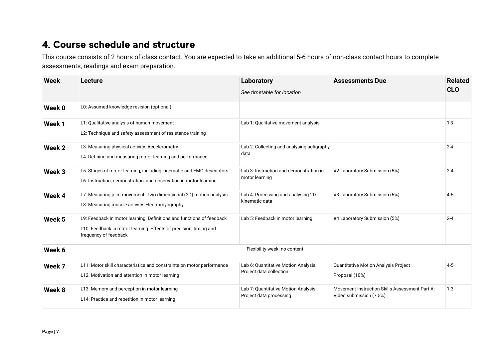# 4. Course schedule and structure

This course consists of 2 hours of class contact. You are expected to take an additional 5-6 hours of non-class contact hours to complete assessments, readings and exam preparation.

<span id="page-6-0"></span>

| <b>Week</b>       | Lecture                                                                                                                                                             | Laboratory<br>See timetable for location                       | <b>Assessments Due</b>                                                    | <b>Related</b><br><b>CLO</b> |
|-------------------|---------------------------------------------------------------------------------------------------------------------------------------------------------------------|----------------------------------------------------------------|---------------------------------------------------------------------------|------------------------------|
| Week 0            | L0: Assumed knowledge revision (optional)                                                                                                                           |                                                                |                                                                           |                              |
| Week 1            | L1: Qualitative analysis of human movement<br>L2: Technique and safety assessment of resistance training                                                            | Lab 1: Qualitative movement analysis                           |                                                                           | 1,3                          |
| Week 2            | L3: Measuring physical activity: Accelerometry<br>L4: Defining and measuring motor learning and performance                                                         | Lab 2: Collecting and analysing actigraphy<br>data             |                                                                           | 2.4                          |
| Week <sub>3</sub> | L5: Stages of motor learning, including kinematic and EMG descriptors<br>L6: Instruction, demonstration, and observation in motor learning                          | Lab 3: Instruction and demonstration in<br>motor learning      | #2 Laboratory Submission (5%)                                             | $2 - 4$                      |
| Week 4            | L7: Measuring joint movement: Two-dimensional (2D) motion analysis<br>L8: Measuring muscle activity: Electromyography                                               | Lab 4: Processing and analysing 2D<br>kinematic data           | #3 Laboratory Submission (5%)                                             | $4 - 5$                      |
| Week <sub>5</sub> | L9: Feedback in motor learning: Definitions and functions of feedback<br>L10: Feedback in motor learning: Effects of precision, timing and<br>frequency of feedback | Lab 5: Feedback in motor learning                              | #4 Laboratory Submission (5%)                                             | $2 - 4$                      |
| Week 6            |                                                                                                                                                                     | Flexibility week: no content                                   |                                                                           |                              |
| Week 7            | L11: Motor skill characteristics and constraints on motor performance<br>L12: Motivation and attention in motor learning                                            | Lab 6: Quantitative Motion Analysis<br>Project data collection | <b>Quantitative Motion Analysis Project</b><br>Proposal (10%)             | $4 - 5$                      |
| Week 8            | L13: Memory and perception in motor learning<br>L14: Practice and repetition in motor learning                                                                      | Lab 7: Quantitative Motion Analysis<br>Project data processing | Movement Instruction Skills Assessment Part A:<br>Video submission (7.5%) | $1-3$                        |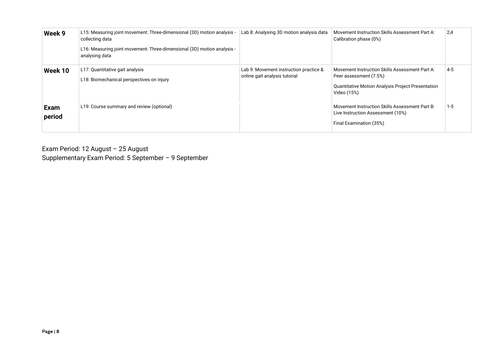| Week 9                | L15: Measuring joint movement: Three-dimensional (3D) motion analysis -<br>collecting data<br>L16: Measuring joint movement: Three-dimensional (3D) motion analysis -<br>analysing data | Lab 8: Analysing 3D motion analysis data                                | Movement Instruction Skills Assessment Part A:<br>Calibration phase (0%)                                                                            | 2,4     |
|-----------------------|-----------------------------------------------------------------------------------------------------------------------------------------------------------------------------------------|-------------------------------------------------------------------------|-----------------------------------------------------------------------------------------------------------------------------------------------------|---------|
| Week 10               | L17: Quantitative gait analysis<br>L18: Biomechanical perspectives on injury                                                                                                            | Lab 9: Movement instruction practice &<br>online gait analysis tutorial | Movement Instruction Skills Assessment Part A:<br>Peer assessment (7.5%)<br><b>Quantitative Motion Analysis Project Presentation</b><br>Video (15%) | $4 - 5$ |
| <b>Exam</b><br>period | L19: Course summary and review (optional)                                                                                                                                               |                                                                         | Movement Instruction Skills Assessment Part B:<br>Live Instruction Assessment (10%)<br>Final Examination (35%)                                      | $1 - 5$ |

Exam Period: 12 August – 25 August Supplementary Exam Period: 5 September – 9 September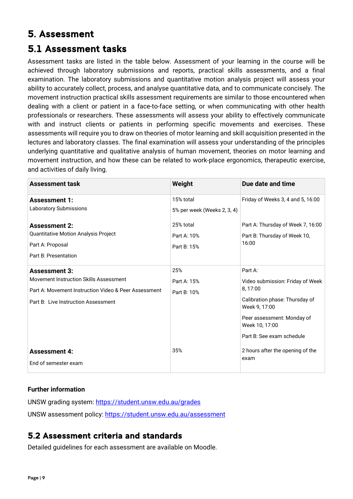# <span id="page-8-0"></span>5. Assessment

# <span id="page-8-1"></span>5.1 Assessment tasks

Assessment tasks are listed in the table below. Assessment of your learning in the course will be achieved through laboratory submissions and reports, practical skills assessments, and a final examination. The laboratory submissions and quantitative motion analysis project will assess your ability to accurately collect, process, and analyse quantitative data, and to communicate concisely. The movement instruction practical skills assessment requirements are similar to those encountered when dealing with a client or patient in a face-to-face setting, or when communicating with other health professionals or researchers. These assessments will assess your ability to effectively communicate with and instruct clients or patients in performing specific movements and exercises. These assessments will require you to draw on theories of motor learning and skill acquisition presented in the lectures and laboratory classes. The final examination will assess your understanding of the principles underlying quantitative and qualitative analysis of human movement, theories on motor learning and movement instruction, and how these can be related to work-place ergonomics, therapeutic exercise, and activities of daily living.

| <b>Assessment task</b>                                                                                                                                        | Weight                                   | Due date and time                                                                                                                                                                      |
|---------------------------------------------------------------------------------------------------------------------------------------------------------------|------------------------------------------|----------------------------------------------------------------------------------------------------------------------------------------------------------------------------------------|
| <b>Assessment 1:</b><br><b>Laboratory Submissions</b>                                                                                                         | 15% total<br>5% per week (Weeks 2, 3, 4) | Friday of Weeks 3, 4 and 5, 16:00                                                                                                                                                      |
| <b>Assessment 2:</b><br>Quantitative Motion Analysis Project<br>Part A: Proposal<br>Part B: Presentation                                                      | 25% total<br>Part A: 10%<br>Part B: 15%  | Part A: Thursday of Week 7, 16:00<br>Part B: Thursday of Week 10,<br>16:00                                                                                                             |
| <b>Assessment 3:</b><br>Movement Instruction Skills Assessment<br>Part A: Movement Instruction Video & Peer Assessment<br>Part B: Live Instruction Assessment | 25%<br>Part A: 15%<br>Part B: 10%        | Part A:<br>Video submission: Friday of Week<br>8,17:00<br>Calibration phase: Thursday of<br>Week 9, 17:00<br>Peer assessment: Monday of<br>Week 10, 17:00<br>Part B: See exam schedule |
| <b>Assessment 4:</b><br>End of semester exam                                                                                                                  | 35%                                      | 2 hours after the opening of the<br>exam                                                                                                                                               |

#### **Further information**

UNSW grading system:<https://student.unsw.edu.au/grades> UNSW assessment policy:<https://student.unsw.edu.au/assessment>

## <span id="page-8-2"></span>5.2 Assessment criteria and standards

Detailed guidelines for each assessment are available on Moodle.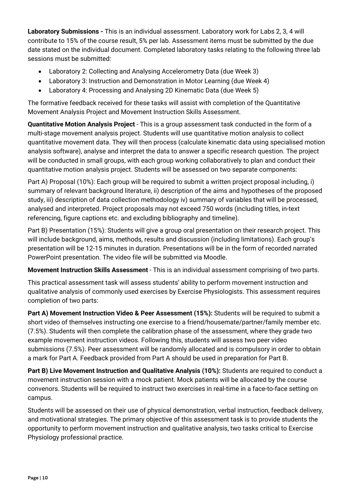**Laboratory Submissions -** This is an individual assessment. Laboratory work for Labs 2, 3, 4 will contribute to 15% of the course result, 5% per lab. Assessment items must be submitted by the due date stated on the individual document. Completed laboratory tasks relating to the following three lab sessions must be submitted:

- Laboratory 2: Collecting and Analysing Accelerometry Data (due Week 3)
- Laboratory 3: Instruction and Demonstration in Motor Learning (due Week 4)
- Laboratory 4: Processing and Analysing 2D Kinematic Data (due Week 5)

The formative feedback received for these tasks will assist with completion of the Quantitative Movement Analysis Project and Movement Instruction Skills Assessment.

**Quantitative Motion Analysis Project** - This is a group assessment task conducted in the form of a multi-stage movement analysis project. Students will use quantitative motion analysis to collect quantitative movement data. They will then process (calculate kinematic data using specialised motion analysis software), analyse and interpret the data to answer a specific research question. The project will be conducted in small groups, with each group working collaboratively to plan and conduct their quantitative motion analysis project. Students will be assessed on two separate components:

Part A) Proposal (10%): Each group will be required to submit a written project proposal including, i) summary of relevant background literature, ii) description of the aims and hypotheses of the proposed study, iii) description of data collection methodology iv) summary of variables that will be processed, analysed and interpreted. Project proposals may not exceed 750 words (including titles, in-text referencing, figure captions etc. and excluding bibliography and timeline).

Part B) Presentation (15%): Students will give a group oral presentation on their research project. This will include background, aims, methods, results and discussion (including limitations). Each group's presentation will be 12-15 minutes in duration. Presentations will be in the form of recorded narrated PowerPoint presentation. The video file will be submitted via Moodle.

**Movement Instruction Skills Assessment** - This is an individual assessment comprising of two parts.

This practical assessment task will assess students' ability to perform movement instruction and qualitative analysis of commonly used exercises by Exercise Physiologists. This assessment requires completion of two parts:

**Part A) Movement Instruction Video & Peer Assessment (15%):** Students will be required to submit a short video of themselves instructing one exercise to a friend/housemate/partner/family member etc. (7.5%). Students will then complete the calibration phase of the assessment, where they grade two example movement instruction videos. Following this, students will assess two peer video submissions (7.5%). Peer assessment will be randomly allocated and is compulsory in order to obtain a mark for Part A. Feedback provided from Part A should be used in preparation for Part B.

**Part B) Live Movement Instruction and Qualitative Analysis (10%):** Students are required to conduct a movement instruction session with a mock patient. Mock patients will be allocated by the course convenors. Students will be required to instruct two exercises in real-time in a face-to-face setting on campus.

Students will be assessed on their use of physical demonstration, verbal instruction, feedback delivery, and motivational strategies. The primary objective of this assessment task is to provide students the opportunity to perform movement instruction and qualitative analysis, two tasks critical to Exercise Physiology professional practice.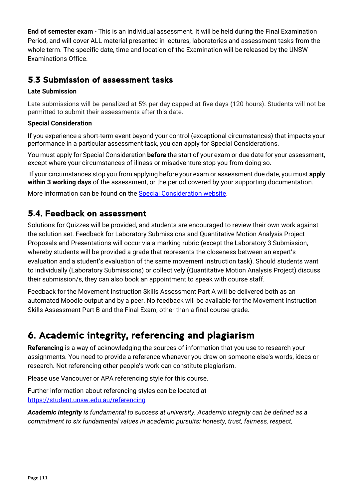**End of semester exam** - This is an individual assessment. It will be held during the Final Examination Period, and will cover ALL material presented in lectures, laboratories and assessment tasks from the whole term. The specific date, time and location of the Examination will be released by the UNSW Examinations Office.

# <span id="page-10-0"></span>5.3 Submission of assessment tasks

#### **Late Submission**

Late submissions will be penalized at 5% per day capped at five days (120 hours). Students will not be permitted to submit their assessments after this date.

#### **Special Consideration**

If you experience a short-term event beyond your control (exceptional circumstances) that impacts your performance in a particular assessment task, you can apply for Special Considerations.

You must apply for Special Consideration **before** the start of your exam or due date for your assessment, except where your circumstances of illness or misadventure stop you from doing so.

If your circumstances stop you from applying before your exam or assessment due date, you must **apply within 3 working days** of the assessment, or the period covered by your supporting documentation.

More information can be found on the **Special Consideration website**.

## <span id="page-10-1"></span>5.4. Feedback on assessment

Solutions for Quizzes will be provided, and students are encouraged to review their own work against the solution set. Feedback for Laboratory Submissions and Quantitative Motion Analysis Project Proposals and Presentations will occur via a marking rubric (except the Laboratory 3 Submission, whereby students will be provided a grade that represents the closeness between an expert's evaluation and a student's evaluation of the same movement instruction task). Should students want to individually (Laboratory Submissions) or collectively (Quantitative Motion Analysis Project) discuss their submission/s, they can also book an appointment to speak with course staff.

Feedback for the Movement Instruction Skills Assessment Part A will be delivered both as an automated Moodle output and by a peer. No feedback will be available for the Movement Instruction Skills Assessment Part B and the Final Exam, other than a final course grade.

# <span id="page-10-2"></span>6. Academic integrity, referencing and plagiarism

**Referencing** is a way of acknowledging the sources of information that you use to research your assignments. You need to provide a reference whenever you draw on someone else's words, ideas or research. Not referencing other people's work can constitute plagiarism.

Please use Vancouver or APA referencing style for this course.

Further information about referencing styles can be located at <https://student.unsw.edu.au/referencing>

*Academic integrity is fundamental to success at university. Academic integrity can be defined as a commitment to six fundamental values in academic pursuits: honesty, trust, fairness, respect,*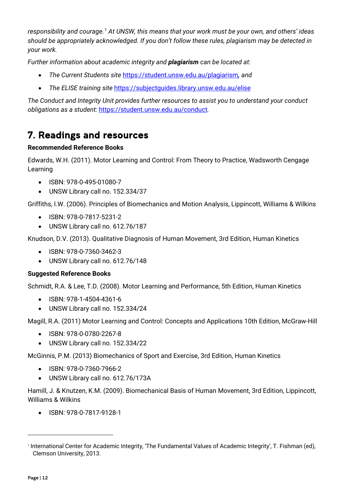*responsibility and courage.*[1](#page-11-1) *At UNSW, this means that your work must be your own, and others' ideas should be appropriately acknowledged. If you don't follow these rules, plagiarism may be detected in your work.* 

*Further information about academic integrity and plagiarism can be located at:*

- *The Current Students site* <https://student.unsw.edu.au/plagiarism>*, and*
- *The ELISE training site* <https://subjectguides.library.unsw.edu.au/elise>

*The Conduct and Integrity Unit provides further resources to assist you to understand your conduct obligations as a student:* <https://student.unsw.edu.au/conduct>*.*

# <span id="page-11-0"></span>7. Readings and resources

#### **Recommended Reference Books**

Edwards, W.H. (2011). Motor Learning and Control: From Theory to Practice, Wadsworth Cengage Learning

- ISBN: 978-0-495-01080-7
- UNSW Library call no. 152.334/37

Griffiths, I.W. (2006). Principles of Biomechanics and Motion Analysis, Lippincott, Williams & Wilkins

- ISBN: 978-0-7817-5231-2
- UNSW Library call no. 612.76/187

Knudson, D.V. (2013). Qualitative Diagnosis of Human Movement, 3rd Edition, Human Kinetics

- ISBN: 978-0-7360-3462-3
- UNSW Library call no. 612.76/148

#### **Suggested Reference Books**

Schmidt, R.A. & Lee, T.D. (2008). Motor Learning and Performance, 5th Edition, Human Kinetics

- ISBN: 978-1-4504-4361-6
- UNSW Library call no. 152.334/24

Magill, R.A. (2011) Motor Learning and Control: Concepts and Applications 10th Edition, McGraw-Hill

- ISBN: 978-0-0780-2267-8
- UNSW Library call no. 152.334/22

McGinnis, P.M. (2013) Biomechanics of Sport and Exercise, 3rd Edition, Human Kinetics

- ISBN: 978-0-7360-7966-2
- UNSW Library call no. 612.76/173A

Hamill, J. & Knutzen, K.M. (2009). Biomechanical Basis of Human Movement, 3rd Edition, Lippincott, Williams & Wilkins

• ISBN: 978-0-7817-9128-1

<span id="page-11-1"></span><sup>1</sup> International Center for Academic Integrity, 'The Fundamental Values of Academic Integrity', T. Fishman (ed), Clemson University, 2013.